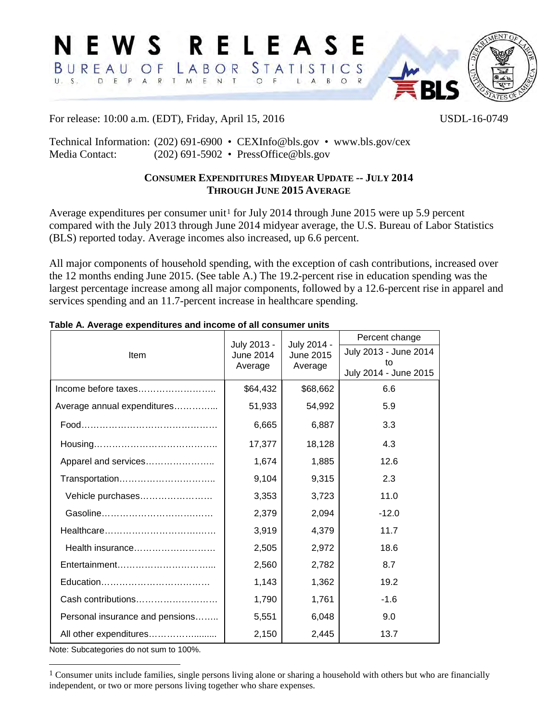

For release: 10:00 a.m. (EDT), Friday, April 15, 2016 USDL-16-0749

Technical Information: (202) 691-6900 • CEXInfo@bls.gov • www.bls.gov/cex Media Contact: (202) 691-5902 • [PressOffice@bls.gov](mailto:PressOffice@bls.gov)

# **CONSUMER EXPENDITURES MIDYEAR UPDATE -- JULY 2014 THROUGH JUNE 2015 AVERAGE**

Average expenditures per consumer unit<sup>[1](#page-0-0)</sup> for July 2014 through June 2015 were up 5.9 percent compared with the July 2013 through June 2014 midyear average, the U.S. Bureau of Labor Statistics (BLS) reported today. Average incomes also increased, up 6.6 percent.

All major components of household spending, with the exception of cash contributions, increased over the 12 months ending June 2015. (See table A.) The 19.2-percent rise in education spending was the largest percentage increase among all major components, followed by a 12.6-percent rise in apparel and services spending and an 11.7-percent increase in healthcare spending.

|                                 | July 2013 -<br><b>June 2014</b><br>Average | July 2014 -<br>June 2015<br>Average | Percent change              |  |
|---------------------------------|--------------------------------------------|-------------------------------------|-----------------------------|--|
| Item                            |                                            |                                     | July 2013 - June 2014       |  |
|                                 |                                            |                                     | to<br>July 2014 - June 2015 |  |
|                                 | \$64,432                                   | \$68,662                            | 6.6                         |  |
| Average annual expenditures     | 51,933                                     | 54,992                              | 5.9                         |  |
|                                 | 6,665                                      | 6,887                               | 3.3                         |  |
|                                 | 17,377                                     | 18,128                              | 4.3                         |  |
| Apparel and services            | 1,674                                      | 1,885                               | 12.6                        |  |
| Transportation                  | 9,104                                      | 9,315                               | 2.3                         |  |
| Vehicle purchases               | 3,353                                      | 3,723                               | 11.0                        |  |
|                                 | 2,379                                      | 2,094                               | $-12.0$                     |  |
|                                 | 3,919                                      | 4,379                               | 11.7                        |  |
| Health insurance                | 2,505                                      | 2,972                               | 18.6                        |  |
|                                 | 2,560                                      | 2,782                               | 8.7                         |  |
|                                 | 1,143                                      | 1,362                               | 19.2                        |  |
| Cash contributions              | 1,790                                      | 1,761                               | $-1.6$                      |  |
| Personal insurance and pensions | 5,551                                      | 6,048                               | 9.0                         |  |
| All other expenditures          | 2,150                                      | 2,445                               | 13.7                        |  |

#### **Table A. Average expenditures and income of all consumer units**

Note: Subcategories do not sum to 100%.

<span id="page-0-0"></span><sup>&</sup>lt;sup>1</sup> Consumer units include families, single persons living alone or sharing a household with others but who are financially independent, or two or more persons living together who share expenses.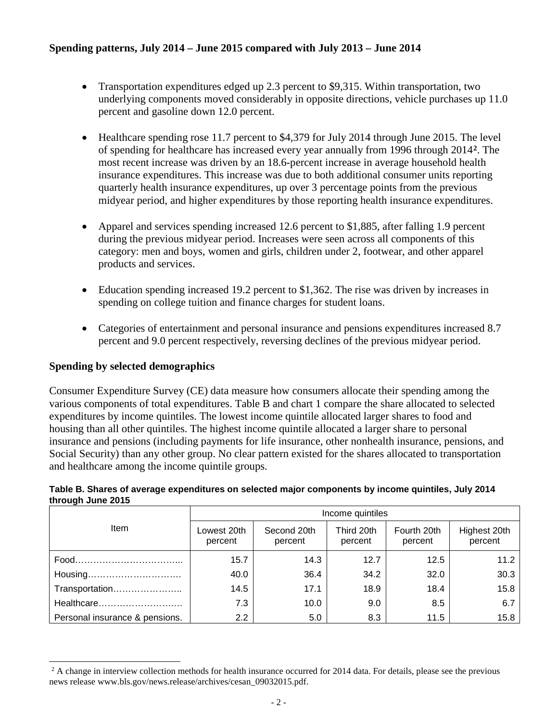# **Spending patterns, July 2014 – June 2015 compared with July 2013 – June 2014**

- Transportation expenditures edged up 2.3 percent to \$9,315. Within transportation, two underlying components moved considerably in opposite directions, vehicle purchases up 11.0 percent and gasoline down 12.0 percent.
- Healthcare spending rose 11.7 percent to \$4,379 for July 2014 through June 2015. The level of spending for healthcare has increased every year annually from 1996 through 2014**[2](#page-1-0)**. The most recent increase was driven by an 18.6-percent increase in average household health insurance expenditures. This increase was due to both additional consumer units reporting quarterly health insurance expenditures, up over 3 percentage points from the previous midyear period, and higher expenditures by those reporting health insurance expenditures.
- Apparel and services spending increased 12.6 percent to \$1,885, after falling 1.9 percent during the previous midyear period. Increases were seen across all components of this category: men and boys, women and girls, children under 2, footwear, and other apparel products and services.
- Education spending increased 19.2 percent to \$1,362. The rise was driven by increases in spending on college tuition and finance charges for student loans.
- Categories of entertainment and personal insurance and pensions expenditures increased 8.7 percent and 9.0 percent respectively, reversing declines of the previous midyear period.

## **Spending by selected demographics**

 $\overline{a}$ 

Consumer Expenditure Survey (CE) data measure how consumers allocate their spending among the various components of total expenditures. Table B and chart 1 compare the share allocated to selected expenditures by income quintiles. The lowest income quintile allocated larger shares to food and housing than all other quintiles. The highest income quintile allocated a larger share to personal insurance and pensions (including payments for life insurance, other nonhealth insurance, pensions, and Social Security) than any other group. No clear pattern existed for the shares allocated to transportation and healthcare among the income quintile groups.

#### **Table B. Shares of average expenditures on selected major components by income quintiles, July 2014 through June 2015**

|                                | Income quintiles       |                        |                       |                        |                         |  |
|--------------------------------|------------------------|------------------------|-----------------------|------------------------|-------------------------|--|
| Item                           | Lowest 20th<br>percent | Second 20th<br>percent | Third 20th<br>percent | Fourth 20th<br>percent | Highest 20th<br>percent |  |
|                                | 15.7                   | 14.3                   | 12.7                  | 12.5                   | 11.2                    |  |
| Housing                        | 40.0                   | 36.4                   | 34.2                  | 32.0                   | 30.3                    |  |
| Transportation                 | 14.5                   | 17.1                   | 18.9                  | 18.4                   | 15.8                    |  |
| Healthcare                     | 7.3                    | 10.0                   | 9.0                   | 8.5                    | 6.7                     |  |
| Personal insurance & pensions. | 2.2                    | 5.0                    | 8.3                   | 11.5                   | 15.8                    |  |

<span id="page-1-0"></span><sup>&</sup>lt;sup>2</sup> A change in interview collection methods for health insurance occurred for 2014 data. For details, please see the previous news release www.bls.gov/news.release/archives/cesan\_09032015.pdf.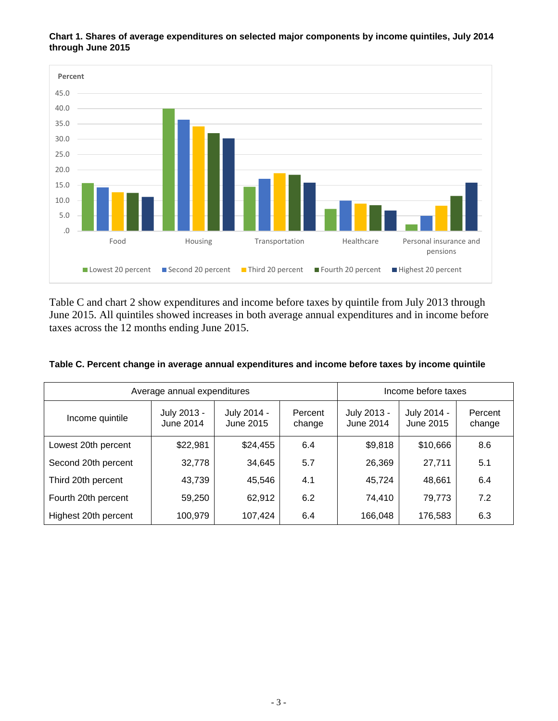

**Chart 1. Shares of average expenditures on selected major components by income quintiles, July 2014 through June 2015** 

Table C and chart 2 show expenditures and income before taxes by quintile from July 2013 through June 2015. All quintiles showed increases in both average annual expenditures and in income before taxes across the 12 months ending June 2015.

| Average annual expenditures |                          |                          | Income before taxes |                          |                          |                   |
|-----------------------------|--------------------------|--------------------------|---------------------|--------------------------|--------------------------|-------------------|
| Income quintile             | July 2013 -<br>June 2014 | July 2014 -<br>June 2015 | Percent<br>change   | July 2013 -<br>June 2014 | July 2014 -<br>June 2015 | Percent<br>change |
| Lowest 20th percent         | \$22,981                 | \$24,455                 | 6.4                 | \$9,818                  | \$10,666                 | 8.6               |
| Second 20th percent         | 32,778                   | 34,645                   | 5.7                 | 26,369                   | 27,711                   | 5.1               |
| Third 20th percent          | 43,739                   | 45,546                   | 4.1                 | 45,724                   | 48,661                   | 6.4               |
| Fourth 20th percent         | 59,250                   | 62,912                   | 6.2                 | 74,410                   | 79,773                   | 7.2               |
| Highest 20th percent        | 100,979                  | 107,424                  | 6.4                 | 166,048                  | 176,583                  | 6.3               |

| Table C. Percent change in average annual expenditures and income before taxes by income quintile |  |
|---------------------------------------------------------------------------------------------------|--|
|---------------------------------------------------------------------------------------------------|--|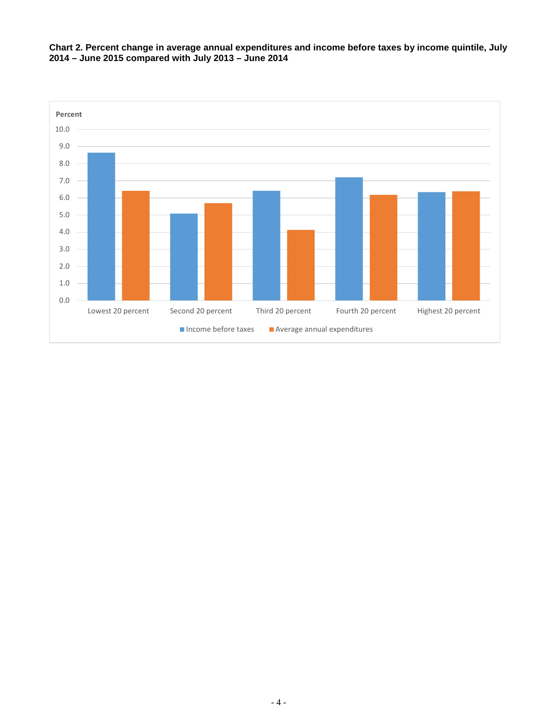

**Chart 2. Percent change in average annual expenditures and income before taxes by income quintile, July 2014 – June 2015 compared with July 2013 – June 2014**